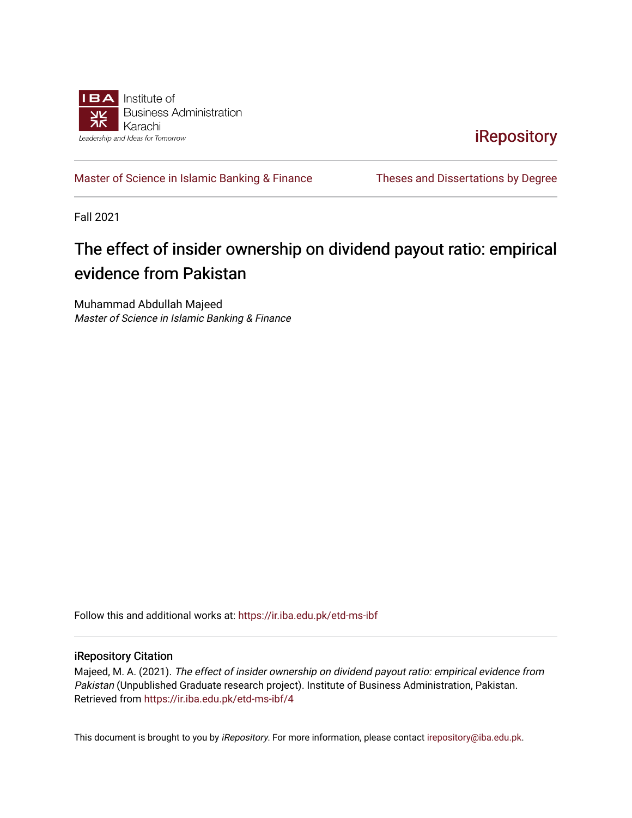

**iRepository** 

[Master of Science in Islamic Banking & Finance](https://ir.iba.edu.pk/etd-ms-ibf) Theses and Dissertations by Degree

Fall 2021

# The effect of insider ownership on dividend payout ratio: empirical evidence from Pakistan

Muhammad Abdullah Majeed Master of Science in Islamic Banking & Finance

Follow this and additional works at: [https://ir.iba.edu.pk/etd-ms-ibf](https://ir.iba.edu.pk/etd-ms-ibf?utm_source=ir.iba.edu.pk%2Fetd-ms-ibf%2F4&utm_medium=PDF&utm_campaign=PDFCoverPages)

#### iRepository Citation

Majeed, M. A. (2021). The effect of insider ownership on dividend payout ratio: empirical evidence from Pakistan (Unpublished Graduate research project). Institute of Business Administration, Pakistan. Retrieved from [https://ir.iba.edu.pk/etd-ms-ibf/4](https://ir.iba.edu.pk/etd-ms-ibf/4?utm_source=ir.iba.edu.pk%2Fetd-ms-ibf%2F4&utm_medium=PDF&utm_campaign=PDFCoverPages) 

This document is brought to you by iRepository. For more information, please contact [irepository@iba.edu.pk](mailto:irepository@iba.edu.pk).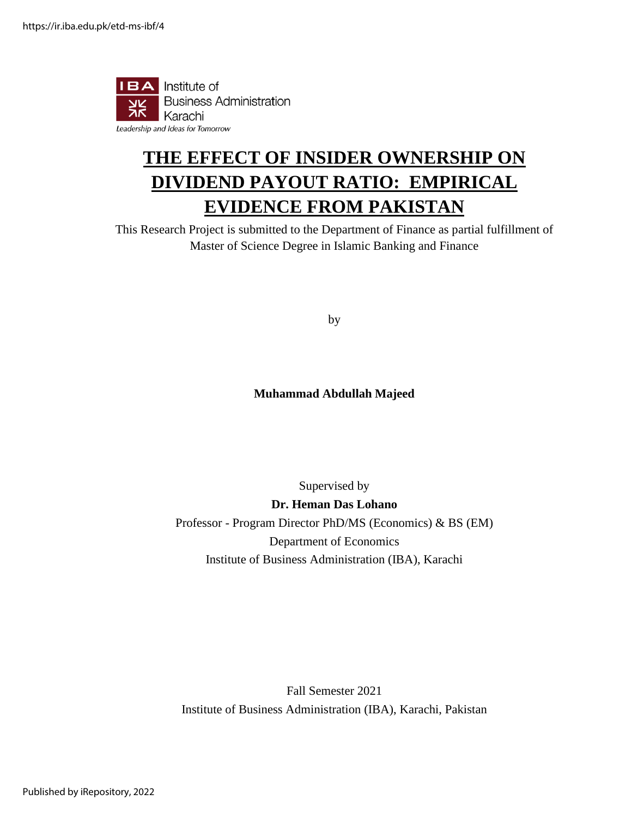

# **THE EFFECT OF INSIDER OWNERSHIP ON DIVIDEND PAYOUT RATIO: EMPIRICAL EVIDENCE FROM PAKISTAN**

This Research Project is submitted to the Department of Finance as partial fulfillment of Master of Science Degree in Islamic Banking and Finance

by

# **Muhammad Abdullah Majeed**

Supervised by **Dr. Heman Das Lohano** Professor - Program Director PhD/MS (Economics) & BS (EM) Department of Economics Institute of Business Administration (IBA), Karachi

Fall Semester 2021 Institute of Business Administration (IBA), Karachi, Pakistan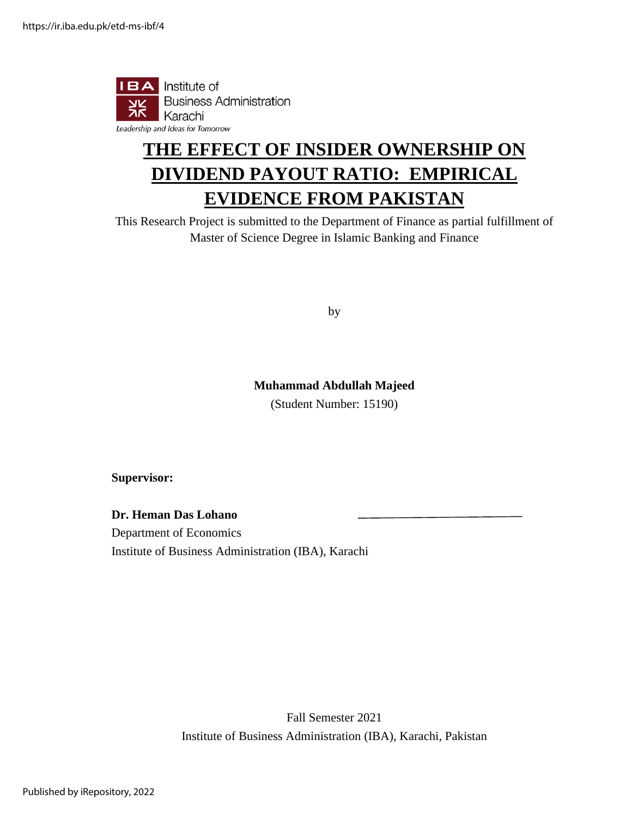

# **THE EFFECT OF INSIDER OWNERSHIP ON DIVIDEND PAYOUT RATIO: EMPIRICAL EVIDENCE FROM PAKISTAN**

This Research Project is submitted to the Department of Finance as partial fulfillment of Master of Science Degree in Islamic Banking and Finance

by

## **Muhammad Abdullah Majeed**

(Student Number: 15190)

**Supervisor:**

**Dr. Heman Das Lohano**

Department of Economics Institute of Business Administration (IBA), Karachi

> Fall Semester 2021 Institute of Business Administration (IBA), Karachi, Pakistan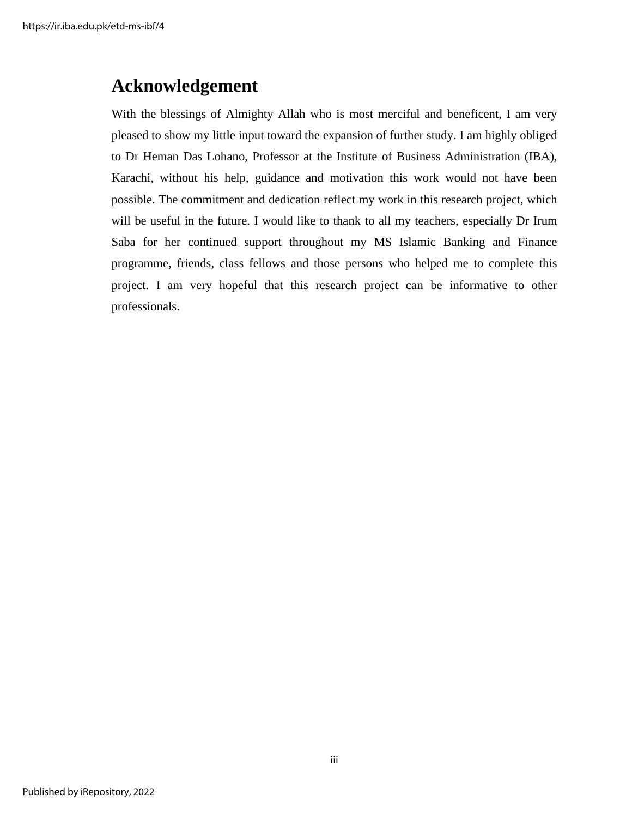# **Acknowledgement**

With the blessings of Almighty Allah who is most merciful and beneficent, I am very pleased to show my little input toward the expansion of further study. I am highly obliged to Dr Heman Das Lohano, Professor at the Institute of Business Administration (IBA), Karachi, without his help, guidance and motivation this work would not have been possible. The commitment and dedication reflect my work in this research project, which will be useful in the future. I would like to thank to all my teachers, especially Dr Irum Saba for her continued support throughout my MS Islamic Banking and Finance programme, friends, class fellows and those persons who helped me to complete this project. I am very hopeful that this research project can be informative to other professionals.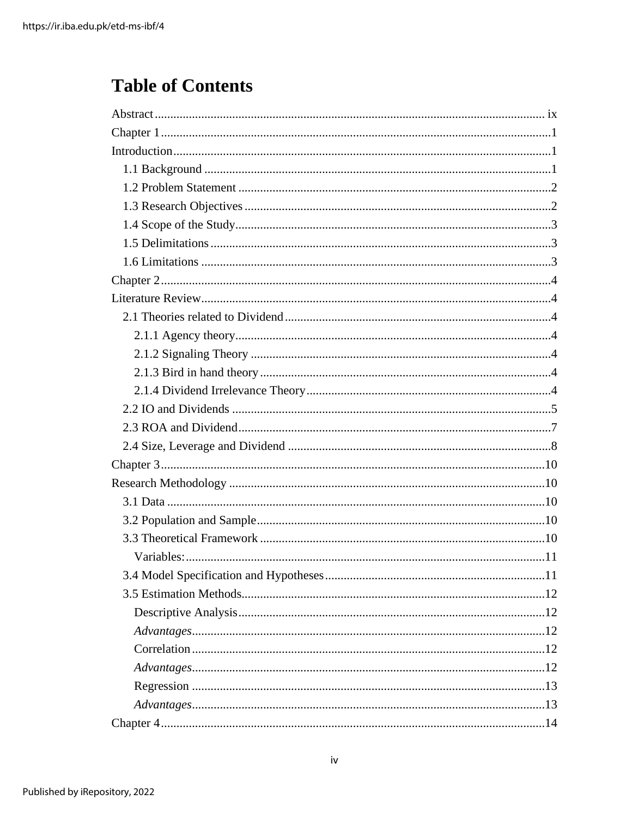# **Table of Contents**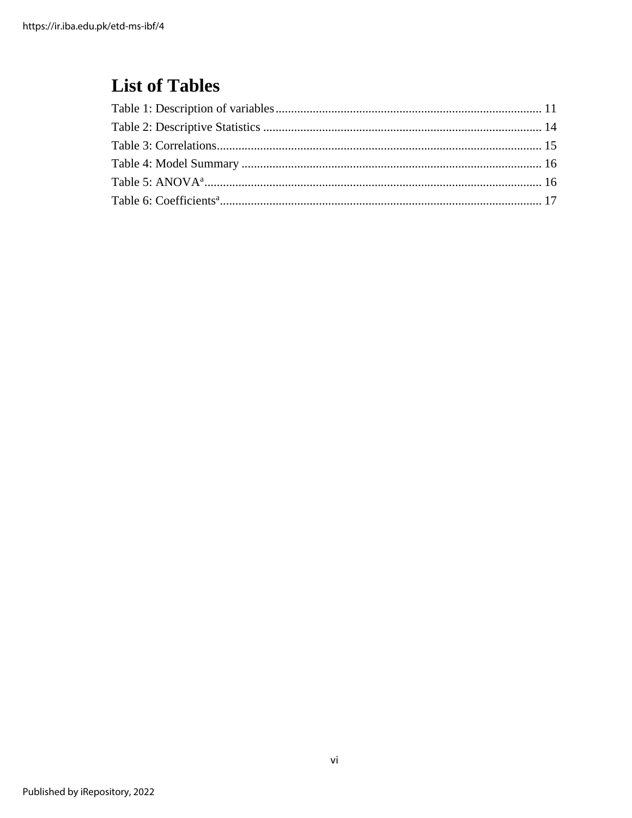# **List of Tables**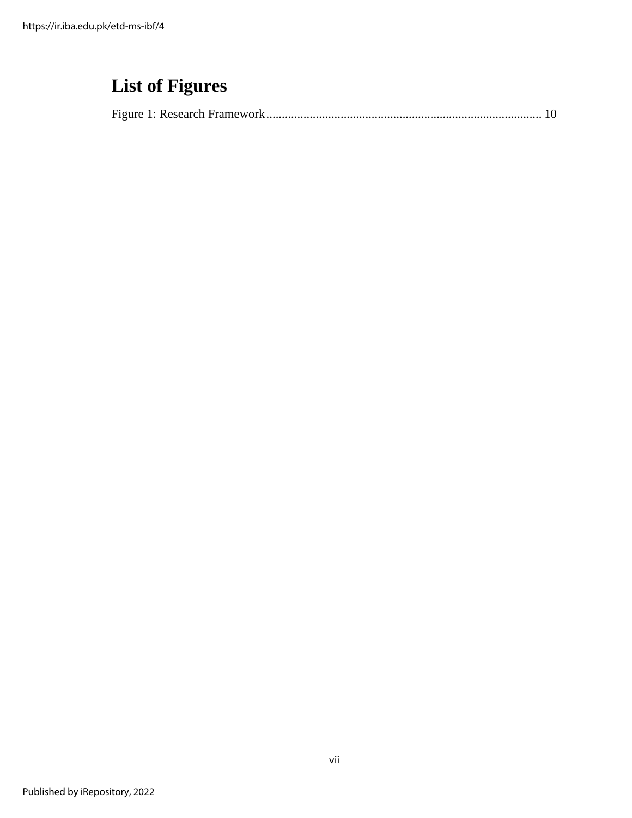# **List of Figures**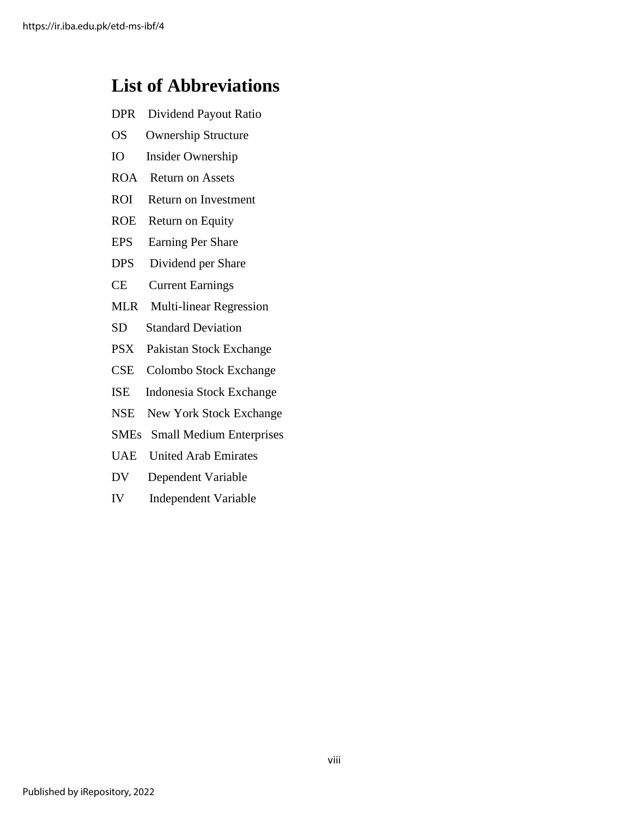# **List of Abbreviations**

- DPR Dividend Payout Ratio
- OS Ownership Structure
- IO Insider Ownership
- ROA Return on Assets
- ROI Return on Investment
- ROE Return on Equity
- EPS Earning Per Share
- DPS Dividend per Share
- CE Current Earnings
- MLR Multi-linear Regression
- SD Standard Deviation
- PSX Pakistan Stock Exchange
- CSE Colombo Stock Exchange
- ISE Indonesia Stock Exchange
- NSE New York Stock Exchange
- SMEs Small Medium Enterprises
- UAE United Arab Emirates
- DV Dependent Variable
- <span id="page-8-0"></span>IV Independent Variable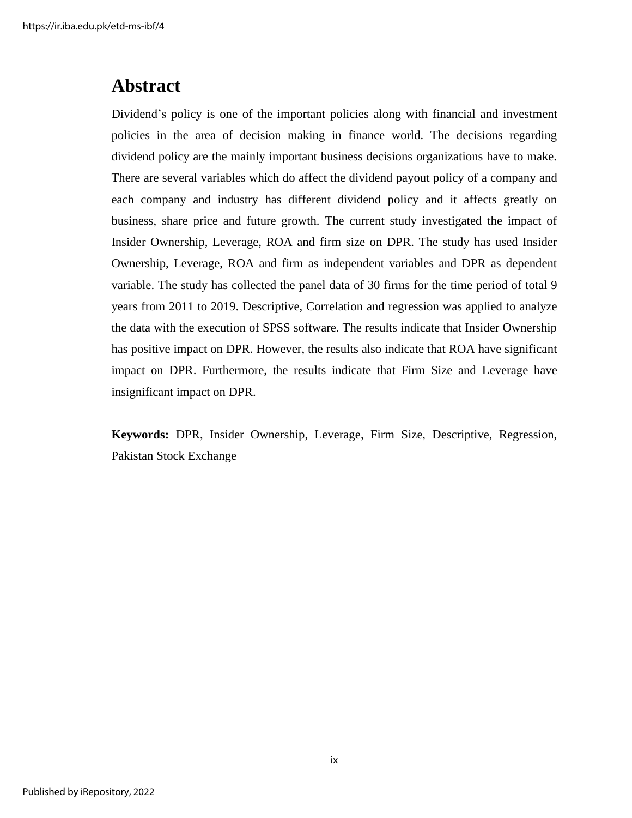# **Abstract**

Dividend's policy is one of the important policies along with financial and investment policies in the area of decision making in finance world. The decisions regarding dividend policy are the mainly important business decisions organizations have to make. There are several variables which do affect the dividend payout policy of a company and each company and industry has different dividend policy and it affects greatly on business, share price and future growth. The current study investigated the impact of Insider Ownership, Leverage, ROA and firm size on DPR. The study has used Insider Ownership, Leverage, ROA and firm as independent variables and DPR as dependent variable. The study has collected the panel data of 30 firms for the time period of total 9 years from 2011 to 2019. Descriptive, Correlation and regression was applied to analyze the data with the execution of SPSS software. The results indicate that Insider Ownership has positive impact on DPR. However, the results also indicate that ROA have significant impact on DPR. Furthermore, the results indicate that Firm Size and Leverage have insignificant impact on DPR.

**Keywords:** DPR, Insider Ownership, Leverage, Firm Size, Descriptive, Regression, Pakistan Stock Exchange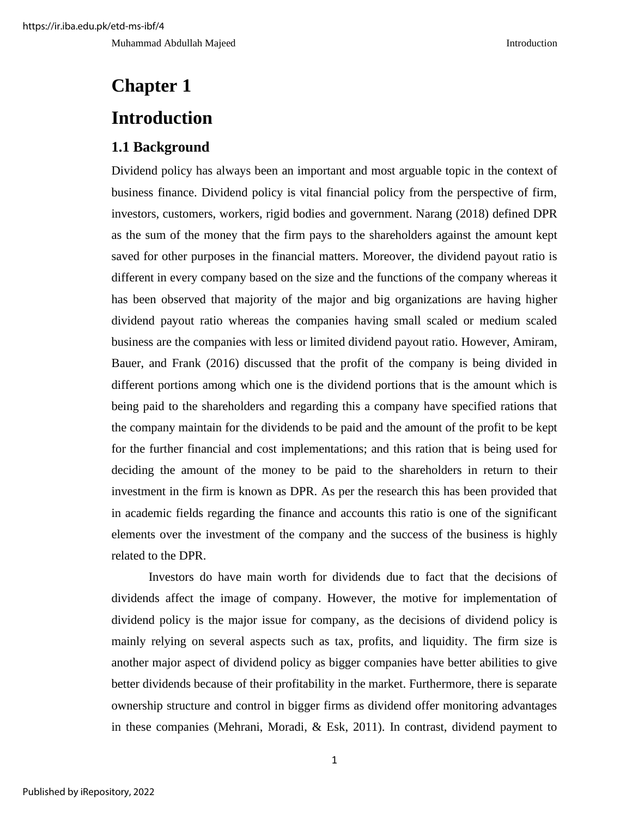Muhammad Abdullah Majeed **Introduction** Introduction

# <span id="page-10-1"></span><span id="page-10-0"></span>**Chapter 1 Introduction**

# <span id="page-10-2"></span>**1.1 Background**

Dividend policy has always been an important and most arguable topic in the context of business finance. Dividend policy is vital financial policy from the perspective of firm, investors, customers, workers, rigid bodies and government. Narang (2018) defined DPR as the sum of the money that the firm pays to the shareholders against the amount kept saved for other purposes in the financial matters. Moreover, the dividend payout ratio is different in every company based on the size and the functions of the company whereas it has been observed that majority of the major and big organizations are having higher dividend payout ratio whereas the companies having small scaled or medium scaled business are the companies with less or limited dividend payout ratio. However, Amiram, Bauer, and Frank (2016) discussed that the profit of the company is being divided in different portions among which one is the dividend portions that is the amount which is being paid to the shareholders and regarding this a company have specified rations that the company maintain for the dividends to be paid and the amount of the profit to be kept for the further financial and cost implementations; and this ration that is being used for deciding the amount of the money to be paid to the shareholders in return to their investment in the firm is known as DPR. As per the research this has been provided that in academic fields regarding the finance and accounts this ratio is one of the significant elements over the investment of the company and the success of the business is highly related to the DPR.

Investors do have main worth for dividends due to fact that the decisions of dividends affect the image of company. However, the motive for implementation of dividend policy is the major issue for company, as the decisions of dividend policy is mainly relying on several aspects such as tax, profits, and liquidity. The firm size is another major aspect of dividend policy as bigger companies have better abilities to give better dividends because of their profitability in the market. Furthermore, there is separate ownership structure and control in bigger firms as dividend offer monitoring advantages in these companies (Mehrani, Moradi, & Esk, 2011). In contrast, dividend payment to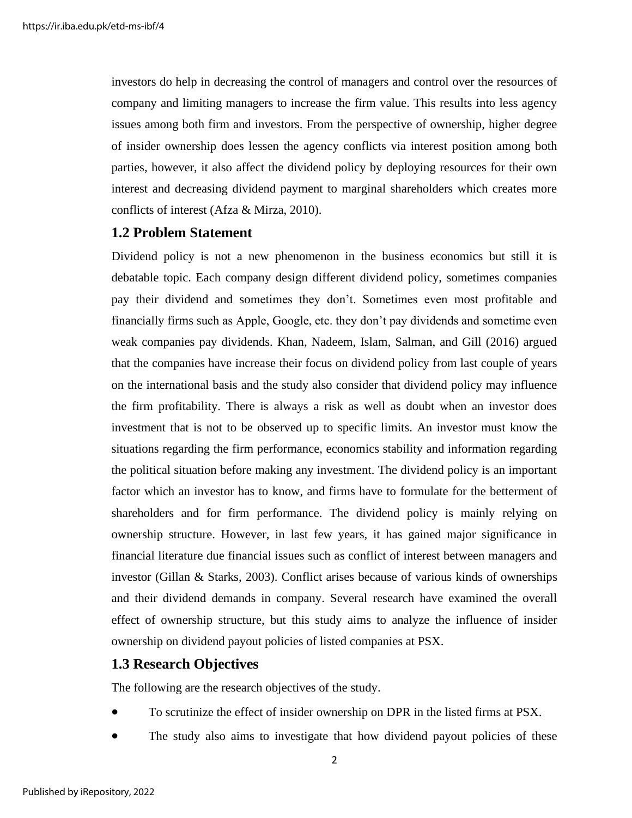investors do help in decreasing the control of managers and control over the resources of company and limiting managers to increase the firm value. This results into less agency issues among both firm and investors. From the perspective of ownership, higher degree of insider ownership does lessen the agency conflicts via interest position among both parties, however, it also affect the dividend policy by deploying resources for their own interest and decreasing dividend payment to marginal shareholders which creates more conflicts of interest (Afza & Mirza, 2010).

### <span id="page-11-0"></span>**1.2 Problem Statement**

Dividend policy is not a new phenomenon in the business economics but still it is debatable topic. Each company design different dividend policy, sometimes companies pay their dividend and sometimes they don't. Sometimes even most profitable and financially firms such as Apple, Google, etc. they don't pay dividends and sometime even weak companies pay dividends. Khan, Nadeem, Islam, Salman, and Gill (2016) argued that the companies have increase their focus on dividend policy from last couple of years on the international basis and the study also consider that dividend policy may influence the firm profitability. There is always a risk as well as doubt when an investor does investment that is not to be observed up to specific limits. An investor must know the situations regarding the firm performance, economics stability and information regarding the political situation before making any investment. The dividend policy is an important factor which an investor has to know, and firms have to formulate for the betterment of shareholders and for firm performance. The dividend policy is mainly relying on ownership structure. However, in last few years, it has gained major significance in financial literature due financial issues such as conflict of interest between managers and investor (Gillan & Starks, 2003). Conflict arises because of various kinds of ownerships and their dividend demands in company. Several research have examined the overall effect of ownership structure, but this study aims to analyze the influence of insider ownership on dividend payout policies of listed companies at PSX.

## <span id="page-11-1"></span>**1.3 Research Objectives**

The following are the research objectives of the study.

- To scrutinize the effect of insider ownership on DPR in the listed firms at PSX.
- The study also aims to investigate that how dividend payout policies of these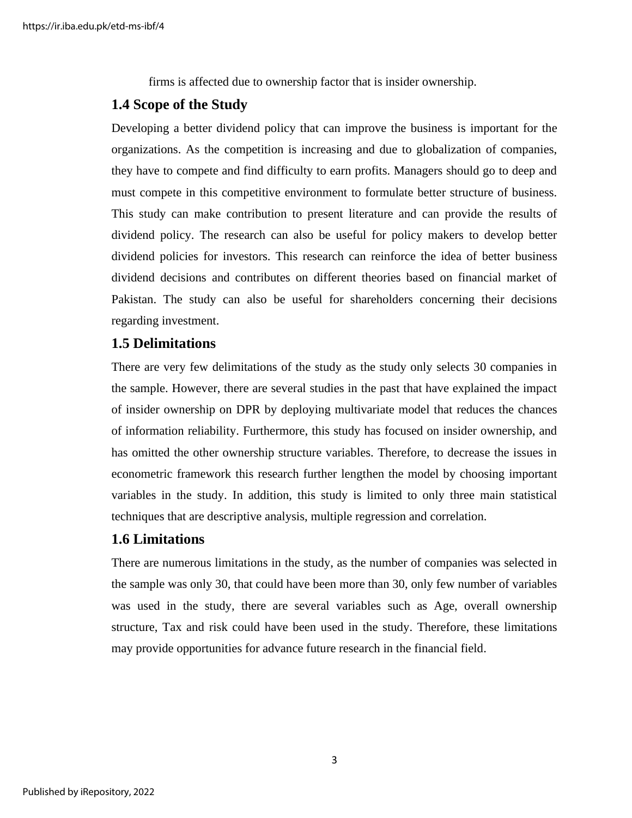firms is affected due to ownership factor that is insider ownership.

# <span id="page-12-0"></span>**1.4 Scope of the Study**

Developing a better dividend policy that can improve the business is important for the organizations. As the competition is increasing and due to globalization of companies, they have to compete and find difficulty to earn profits. Managers should go to deep and must compete in this competitive environment to formulate better structure of business. This study can make contribution to present literature and can provide the results of dividend policy. The research can also be useful for policy makers to develop better dividend policies for investors. This research can reinforce the idea of better business dividend decisions and contributes on different theories based on financial market of Pakistan. The study can also be useful for shareholders concerning their decisions regarding investment.

# <span id="page-12-1"></span>**1.5 Delimitations**

There are very few delimitations of the study as the study only selects 30 companies in the sample. However, there are several studies in the past that have explained the impact of insider ownership on DPR by deploying multivariate model that reduces the chances of information reliability. Furthermore, this study has focused on insider ownership, and has omitted the other ownership structure variables. Therefore, to decrease the issues in econometric framework this research further lengthen the model by choosing important variables in the study. In addition, this study is limited to only three main statistical techniques that are descriptive analysis, multiple regression and correlation.

# <span id="page-12-2"></span>**1.6 Limitations**

There are numerous limitations in the study, as the number of companies was selected in the sample was only 30, that could have been more than 30, only few number of variables was used in the study, there are several variables such as Age, overall ownership structure, Tax and risk could have been used in the study. Therefore, these limitations may provide opportunities for advance future research in the financial field.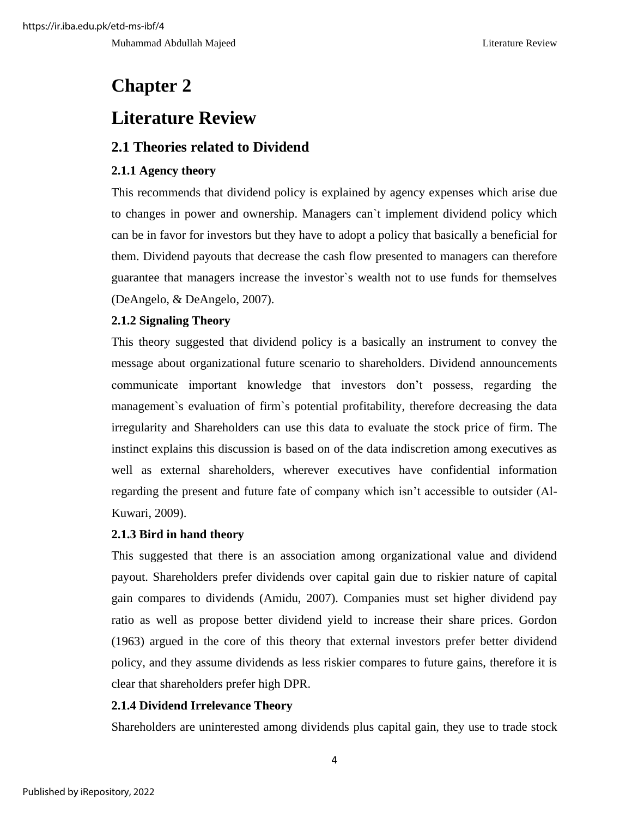Muhammad Abdullah Majeed Literature Review

# <span id="page-13-0"></span>**Chapter 2**

# <span id="page-13-1"></span>**Literature Review**

# <span id="page-13-2"></span>**2.1 Theories related to Dividend**

# <span id="page-13-3"></span>**2.1.1 Agency theory**

This recommends that dividend policy is explained by agency expenses which arise due to changes in power and ownership. Managers can`t implement dividend policy which can be in favor for investors but they have to adopt a policy that basically a beneficial for them. Dividend payouts that decrease the cash flow presented to managers can therefore guarantee that managers increase the investor`s wealth not to use funds for themselves (DeAngelo, & DeAngelo, 2007).

# <span id="page-13-4"></span>**2.1.2 Signaling Theory**

This theory suggested that dividend policy is a basically an instrument to convey the message about organizational future scenario to shareholders. Dividend announcements communicate important knowledge that investors don't possess, regarding the management`s evaluation of firm`s potential profitability, therefore decreasing the data irregularity and Shareholders can use this data to evaluate the stock price of firm. The instinct explains this discussion is based on of the data indiscretion among executives as well as external shareholders, wherever executives have confidential information regarding the present and future fate of company which isn't accessible to outsider (Al-Kuwari, 2009).

# <span id="page-13-5"></span>**2.1.3 Bird in hand theory**

This suggested that there is an association among organizational value and dividend payout. Shareholders prefer dividends over capital gain due to riskier nature of capital gain compares to dividends (Amidu, 2007). Companies must set higher dividend pay ratio as well as propose better dividend yield to increase their share prices. Gordon (1963) argued in the core of this theory that external investors prefer better dividend policy, and they assume dividends as less riskier compares to future gains, therefore it is clear that shareholders prefer high DPR.

# <span id="page-13-6"></span>**2.1.4 Dividend Irrelevance Theory**

Shareholders are uninterested among dividends plus capital gain, they use to trade stock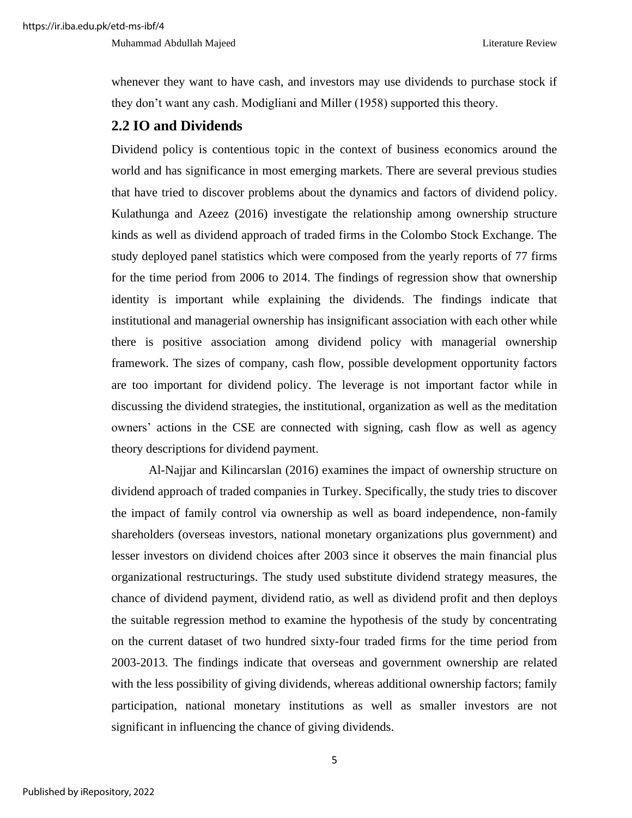Muhammad Abdullah Majeed Literature Review

whenever they want to have cash, and investors may use dividends to purchase stock if they don't want any cash. Modigliani and Miller (1958) supported this theory.

# <span id="page-14-0"></span>**2.2 IO and Dividends**

Dividend policy is contentious topic in the context of business economics around the world and has significance in most emerging markets. There are several previous studies that have tried to discover problems about the dynamics and factors of dividend policy. Kulathunga and Azeez (2016) investigate the relationship among ownership structure kinds as well as dividend approach of traded firms in the Colombo Stock Exchange. The study deployed panel statistics which were composed from the yearly reports of 77 firms for the time period from 2006 to 2014. The findings of regression show that ownership identity is important while explaining the dividends. The findings indicate that institutional and managerial ownership has insignificant association with each other while there is positive association among dividend policy with managerial ownership framework. The sizes of company, cash flow, possible development opportunity factors are too important for dividend policy. The leverage is not important factor while in discussing the dividend strategies, the institutional, organization as well as the meditation owners' actions in the CSE are connected with signing, cash flow as well as agency theory descriptions for dividend payment.

Al-Najjar and Kilincarslan (2016) examines the impact of ownership structure on dividend approach of traded companies in Turkey. Specifically, the study tries to discover the impact of family control via ownership as well as board independence, non-family shareholders (overseas investors, national monetary organizations plus government) and lesser investors on dividend choices after 2003 since it observes the main financial plus organizational restructurings. The study used substitute dividend strategy measures, the chance of dividend payment, dividend ratio, as well as dividend profit and then deploys the suitable regression method to examine the hypothesis of the study by concentrating on the current dataset of two hundred sixty-four traded firms for the time period from 2003-2013. The findings indicate that overseas and government ownership are related with the less possibility of giving dividends, whereas additional ownership factors; family participation, national monetary institutions as well as smaller investors are not significant in influencing the chance of giving dividends.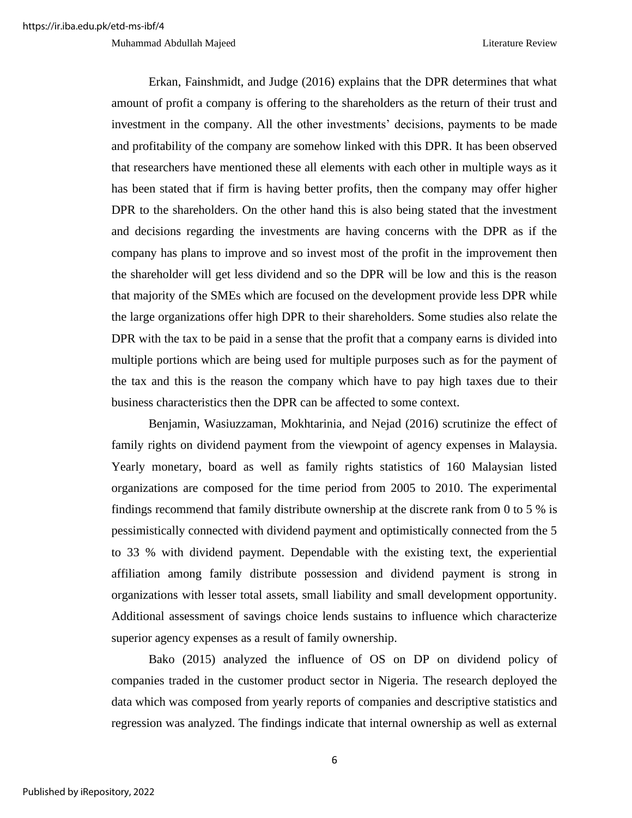#### Muhammad Abdullah Majeed **Literature Review** Literature Review

Erkan, Fainshmidt, and Judge (2016) explains that the DPR determines that what amount of profit a company is offering to the shareholders as the return of their trust and investment in the company. All the other investments' decisions, payments to be made and profitability of the company are somehow linked with this DPR. It has been observed that researchers have mentioned these all elements with each other in multiple ways as it has been stated that if firm is having better profits, then the company may offer higher DPR to the shareholders. On the other hand this is also being stated that the investment and decisions regarding the investments are having concerns with the DPR as if the company has plans to improve and so invest most of the profit in the improvement then the shareholder will get less dividend and so the DPR will be low and this is the reason that majority of the SMEs which are focused on the development provide less DPR while the large organizations offer high DPR to their shareholders. Some studies also relate the DPR with the tax to be paid in a sense that the profit that a company earns is divided into multiple portions which are being used for multiple purposes such as for the payment of the tax and this is the reason the company which have to pay high taxes due to their business characteristics then the DPR can be affected to some context.

Benjamin, Wasiuzzaman, Mokhtarinia, and Nejad (2016) scrutinize the effect of family rights on dividend payment from the viewpoint of agency expenses in Malaysia. Yearly monetary, board as well as family rights statistics of 160 Malaysian listed organizations are composed for the time period from 2005 to 2010. The experimental findings recommend that family distribute ownership at the discrete rank from 0 to 5 % is pessimistically connected with dividend payment and optimistically connected from the 5 to 33 % with dividend payment. Dependable with the existing text, the experiential affiliation among family distribute possession and dividend payment is strong in organizations with lesser total assets, small liability and small development opportunity. Additional assessment of savings choice lends sustains to influence which characterize superior agency expenses as a result of family ownership.

Bako (2015) analyzed the influence of OS on DP on dividend policy of companies traded in the customer product sector in Nigeria. The research deployed the data which was composed from yearly reports of companies and descriptive statistics and regression was analyzed. The findings indicate that internal ownership as well as external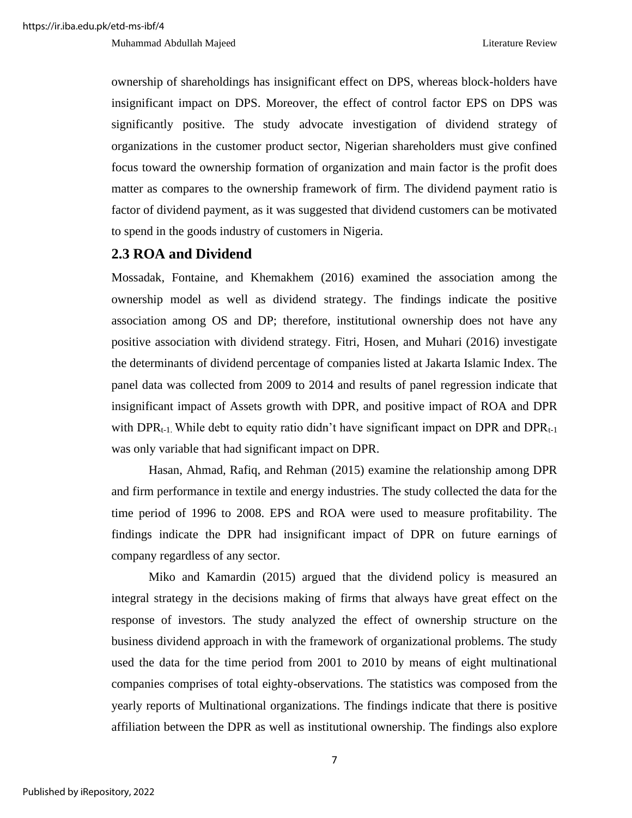ownership of shareholdings has insignificant effect on DPS, whereas block-holders have insignificant impact on DPS. Moreover, the effect of control factor EPS on DPS was significantly positive. The study advocate investigation of dividend strategy of organizations in the customer product sector, Nigerian shareholders must give confined focus toward the ownership formation of organization and main factor is the profit does matter as compares to the ownership framework of firm. The dividend payment ratio is factor of dividend payment, as it was suggested that dividend customers can be motivated to spend in the goods industry of customers in Nigeria.

## <span id="page-16-0"></span>**2.3 ROA and Dividend**

Mossadak, Fontaine, and Khemakhem (2016) examined the association among the ownership model as well as dividend strategy. The findings indicate the positive association among OS and DP; therefore, institutional ownership does not have any positive association with dividend strategy. Fitri, Hosen, and Muhari (2016) investigate the determinants of dividend percentage of companies listed at Jakarta Islamic Index. The panel data was collected from 2009 to 2014 and results of panel regression indicate that insignificant impact of Assets growth with DPR, and positive impact of ROA and DPR with DPR<sub>t-1</sub>. While debt to equity ratio didn't have significant impact on DPR and DPR<sub>t-1</sub> was only variable that had significant impact on DPR.

Hasan, Ahmad, Rafiq, and Rehman (2015) examine the relationship among DPR and firm performance in textile and energy industries. The study collected the data for the time period of 1996 to 2008. EPS and ROA were used to measure profitability. The findings indicate the DPR had insignificant impact of DPR on future earnings of company regardless of any sector.

Miko and Kamardin (2015) argued that the dividend policy is measured an integral strategy in the decisions making of firms that always have great effect on the response of investors. The study analyzed the effect of ownership structure on the business dividend approach in with the framework of organizational problems. The study used the data for the time period from 2001 to 2010 by means of eight multinational companies comprises of total eighty-observations. The statistics was composed from the yearly reports of Multinational organizations. The findings indicate that there is positive affiliation between the DPR as well as institutional ownership. The findings also explore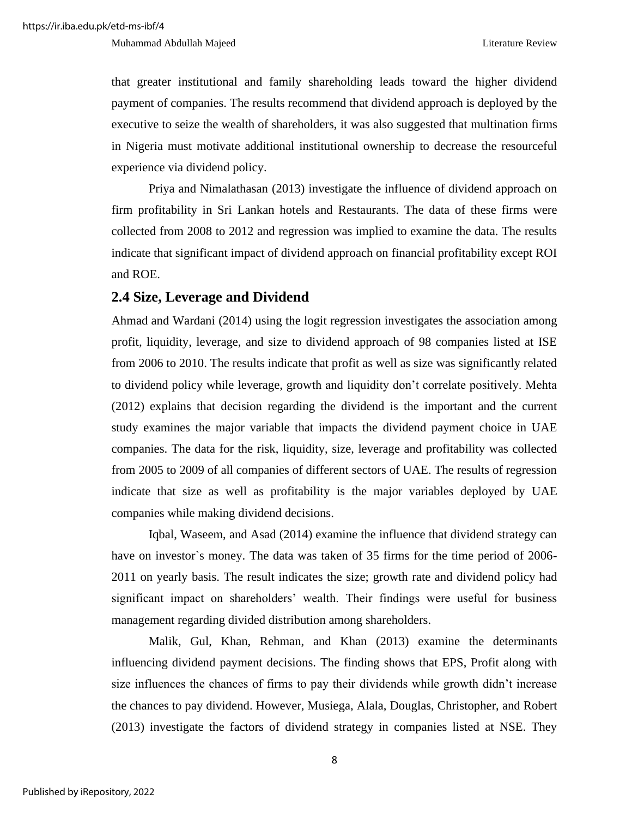that greater institutional and family shareholding leads toward the higher dividend payment of companies. The results recommend that dividend approach is deployed by the executive to seize the wealth of shareholders, it was also suggested that multination firms in Nigeria must motivate additional institutional ownership to decrease the resourceful experience via dividend policy.

Priya and Nimalathasan (2013) investigate the influence of dividend approach on firm profitability in Sri Lankan hotels and Restaurants. The data of these firms were collected from 2008 to 2012 and regression was implied to examine the data. The results indicate that significant impact of dividend approach on financial profitability except ROI and ROE.

### <span id="page-17-0"></span>**2.4 Size, Leverage and Dividend**

Ahmad and Wardani (2014) using the logit regression investigates the association among profit, liquidity, leverage, and size to dividend approach of 98 companies listed at ISE from 2006 to 2010. The results indicate that profit as well as size was significantly related to dividend policy while leverage, growth and liquidity don't correlate positively. Mehta (2012) explains that decision regarding the dividend is the important and the current study examines the major variable that impacts the dividend payment choice in UAE companies. The data for the risk, liquidity, size, leverage and profitability was collected from 2005 to 2009 of all companies of different sectors of UAE. The results of regression indicate that size as well as profitability is the major variables deployed by UAE companies while making dividend decisions.

Iqbal, Waseem, and Asad (2014) examine the influence that dividend strategy can have on investor's money. The data was taken of 35 firms for the time period of 2006-2011 on yearly basis. The result indicates the size; growth rate and dividend policy had significant impact on shareholders' wealth. Their findings were useful for business management regarding divided distribution among shareholders.

Malik, Gul, Khan, Rehman, and Khan (2013) examine the determinants influencing dividend payment decisions. The finding shows that EPS, Profit along with size influences the chances of firms to pay their dividends while growth didn't increase the chances to pay dividend. However, Musiega, Alala, Douglas, Christopher, and Robert (2013) investigate the factors of dividend strategy in companies listed at NSE. They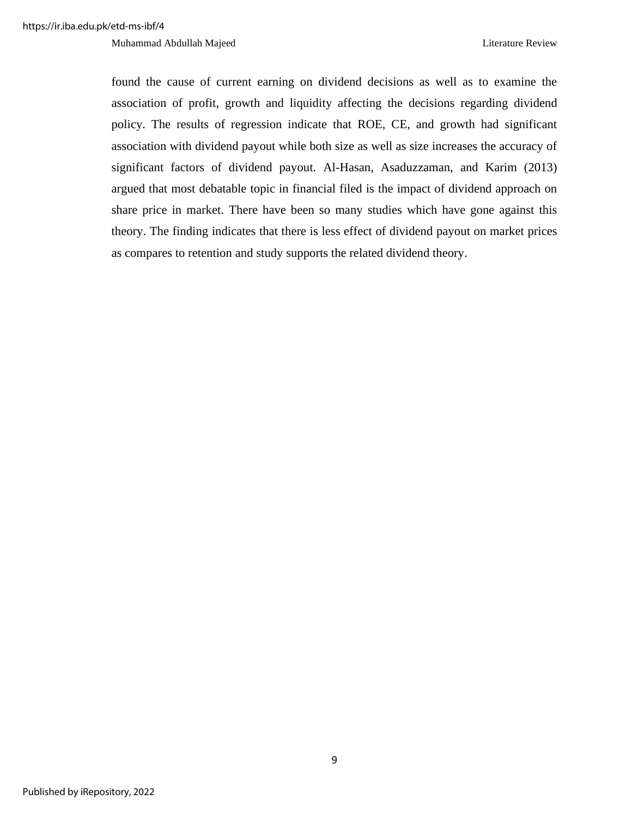Muhammad Abdullah Majeed **Literature Review** Literature Review

found the cause of current earning on dividend decisions as well as to examine the association of profit, growth and liquidity affecting the decisions regarding dividend policy. The results of regression indicate that ROE, CE, and growth had significant association with dividend payout while both size as well as size increases the accuracy of significant factors of dividend payout. Al-Hasan, Asaduzzaman, and Karim (2013) argued that most debatable topic in financial filed is the impact of dividend approach on share price in market. There have been so many studies which have gone against this theory. The finding indicates that there is less effect of dividend payout on market prices as compares to retention and study supports the related dividend theory.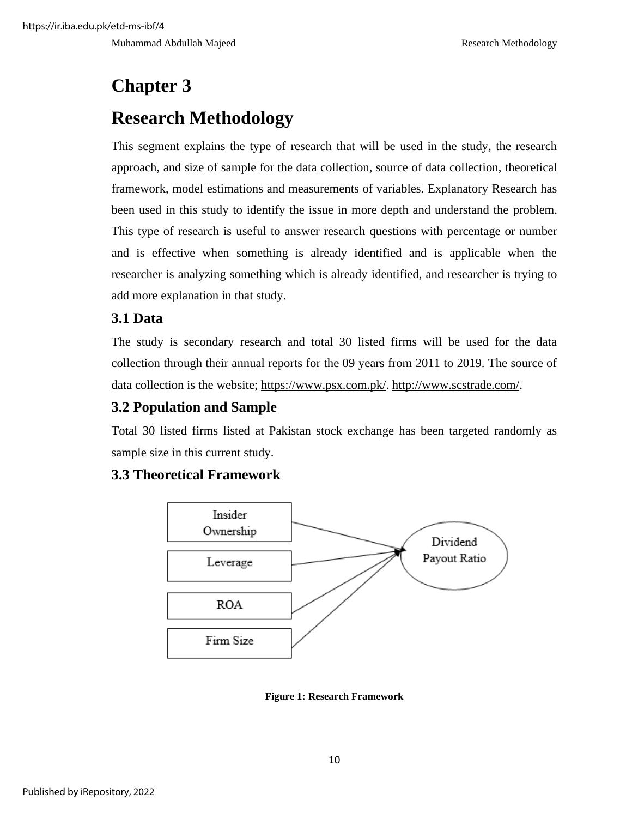Muhammad Abdullah Majeed **Research Methodology** Research Methodology

# <span id="page-19-1"></span><span id="page-19-0"></span>**Chapter 3 Research Methodology**

This segment explains the type of research that will be used in the study, the research approach, and size of sample for the data collection, source of data collection, theoretical framework, model estimations and measurements of variables. Explanatory Research has been used in this study to identify the issue in more depth and understand the problem. This type of research is useful to answer research questions with percentage or number and is effective when something is already identified and is applicable when the researcher is analyzing something which is already identified, and researcher is trying to add more explanation in that study.

# <span id="page-19-2"></span>**3.1 Data**

The study is secondary research and total 30 listed firms will be used for the data collection through their annual reports for the 09 years from 2011 to 2019. The source of data collection is the website; [https://www.psx.com.pk/.](https://www.psx.com.pk/) [http://www.scstrade.com/.](http://www.scstrade.com/)

# <span id="page-19-3"></span>**3.2 Population and Sample**

Total 30 listed firms listed at Pakistan stock exchange has been targeted randomly as sample size in this current study.

# <span id="page-19-4"></span>**3.3 Theoretical Framework**



<span id="page-19-5"></span>**Figure 1: Research Framework**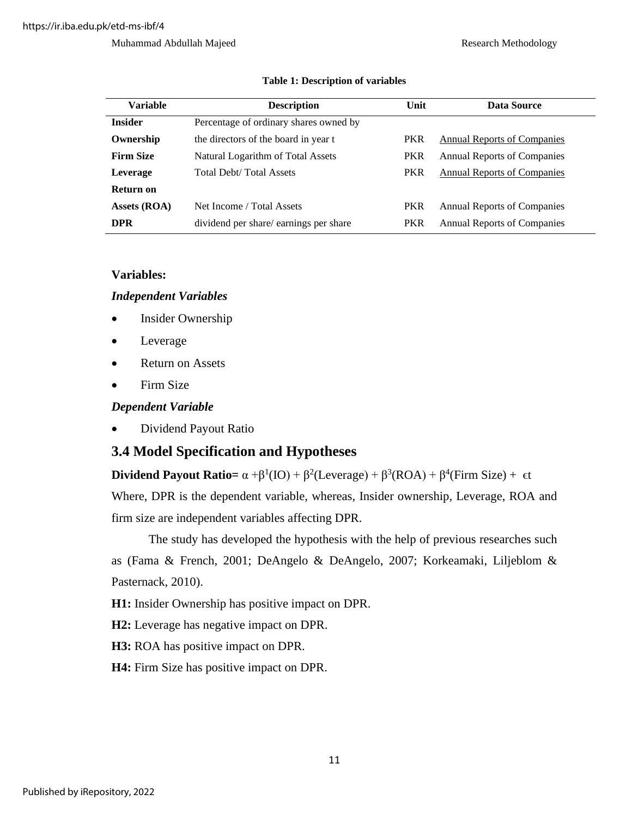#### Muhammad Abdullah Majeed Research Methodology

<span id="page-20-2"></span>

| <b>Variable</b>  | <b>Description</b>                     | Unit       | Data Source                        |
|------------------|----------------------------------------|------------|------------------------------------|
| <b>Insider</b>   | Percentage of ordinary shares owned by |            |                                    |
| Ownership        | the directors of the board in year t   | <b>PKR</b> | <b>Annual Reports of Companies</b> |
| <b>Firm Size</b> | Natural Logarithm of Total Assets      | <b>PKR</b> | <b>Annual Reports of Companies</b> |
| Leverage         | <b>Total Debt/Total Assets</b>         | <b>PKR</b> | <b>Annual Reports of Companies</b> |
| Return on        |                                        |            |                                    |
| Assets (ROA)     | Net Income / Total Assets              | <b>PKR</b> | <b>Annual Reports of Companies</b> |
| <b>DPR</b>       | dividend per share/earnings per share  | <b>PKR</b> | <b>Annual Reports of Companies</b> |

#### **Table 1: Description of variables**

### <span id="page-20-0"></span>**Variables:**

#### *Independent Variables*

- Insider Ownership
- **Leverage**
- Return on Assets
- Firm Size

### *Dependent Variable*

• Dividend Payout Ratio

# <span id="page-20-1"></span>**3.4 Model Specification and Hypotheses**

**Dividend Payout Ratio=**  $\alpha + \beta^1(IO) + \beta^2(Leverage) + \beta^3(ROA) + \beta^4(Firm Size) + \epsilon$ t Where, DPR is the dependent variable, whereas, Insider ownership, Leverage, ROA and firm size are independent variables affecting DPR.

The study has developed the hypothesis with the help of previous researches such as (Fama & French, 2001; DeAngelo & DeAngelo, 2007; Korkeamaki, Liljeblom & Pasternack, 2010).

**H1:** Insider Ownership has positive impact on DPR.

**H2:** Leverage has negative impact on DPR.

**H3:** ROA has positive impact on DPR.

**H4:** Firm Size has positive impact on DPR.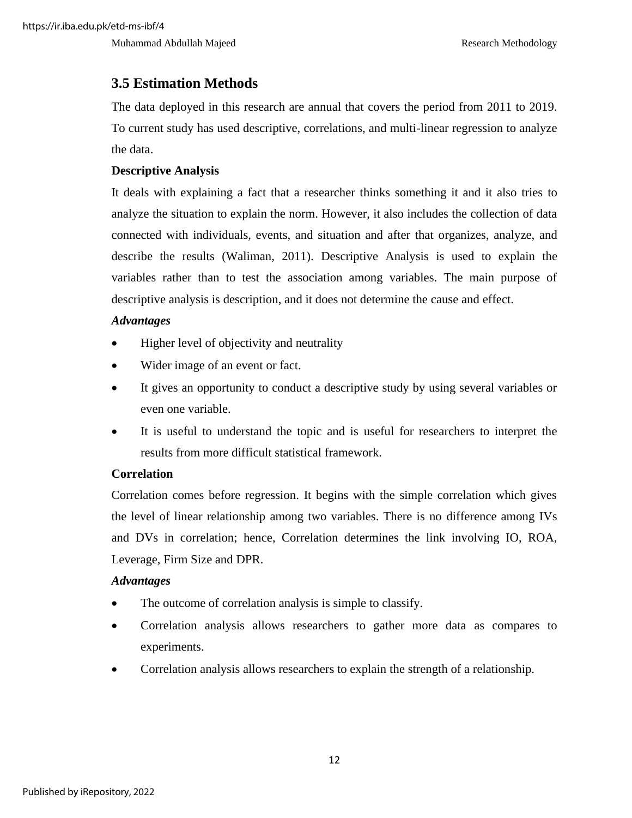Muhammad Abdullah Majeed **Research Methodology** Research Methodology

# <span id="page-21-0"></span>**3.5 Estimation Methods**

The data deployed in this research are annual that covers the period from 2011 to 2019. To current study has used descriptive, correlations, and multi-linear regression to analyze the data.

### <span id="page-21-1"></span>**Descriptive Analysis**

It deals with explaining a fact that a researcher thinks something it and it also tries to analyze the situation to explain the norm. However, it also includes the collection of data connected with individuals, events, and situation and after that organizes, analyze, and describe the results (Waliman, 2011). Descriptive Analysis is used to explain the variables rather than to test the association among variables. The main purpose of descriptive analysis is description, and it does not determine the cause and effect.

### <span id="page-21-2"></span>*Advantages*

- Higher level of objectivity and neutrality
- Wider image of an event or fact.
- It gives an opportunity to conduct a descriptive study by using several variables or even one variable.
- It is useful to understand the topic and is useful for researchers to interpret the results from more difficult statistical framework.

## <span id="page-21-3"></span>**Correlation**

Correlation comes before regression. It begins with the simple correlation which gives the level of linear relationship among two variables. There is no difference among IVs and DVs in correlation; hence, Correlation determines the link involving IO, ROA, Leverage, Firm Size and DPR.

### <span id="page-21-4"></span>*Advantages*

- The outcome of correlation analysis is simple to classify.
- Correlation analysis allows researchers to gather more data as compares to experiments.
- Correlation analysis allows researchers to explain the strength of a relationship.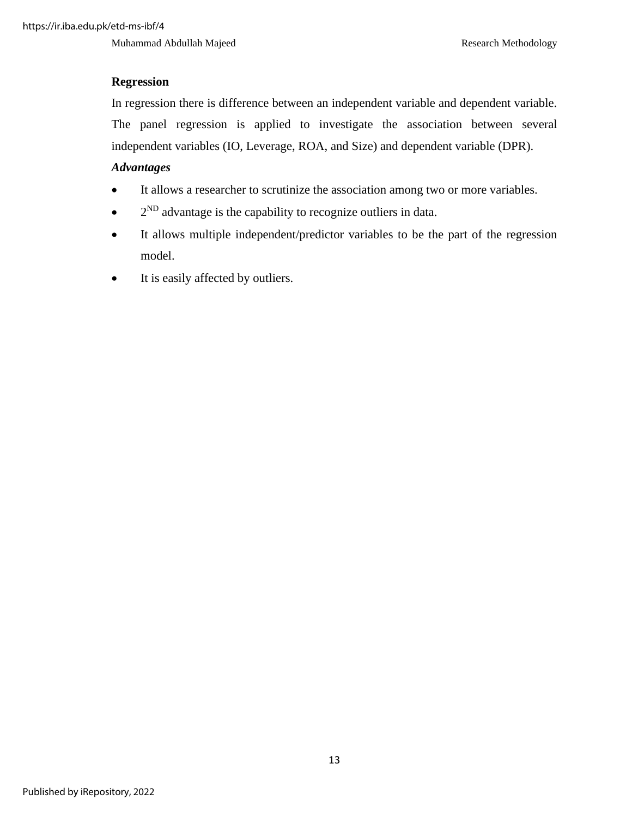Muhammad Abdullah Majeed Research Methodology

# <span id="page-22-0"></span>**Regression**

In regression there is difference between an independent variable and dependent variable. The panel regression is applied to investigate the association between several independent variables (IO, Leverage, ROA, and Size) and dependent variable (DPR).

## <span id="page-22-1"></span>*Advantages*

- It allows a researcher to scrutinize the association among two or more variables.
- $\bullet$  2<sup>ND</sup> advantage is the capability to recognize outliers in data.
- It allows multiple independent/predictor variables to be the part of the regression model.
- It is easily affected by outliers.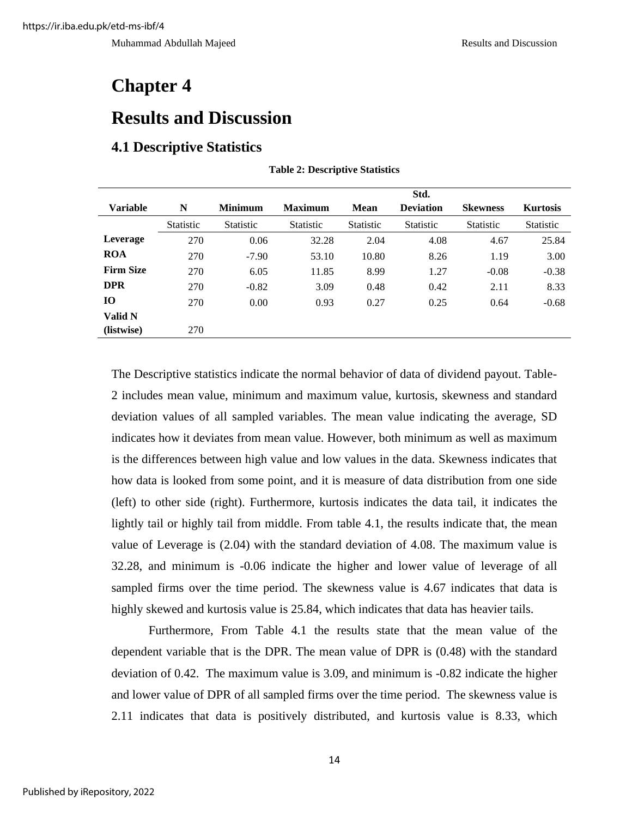# <span id="page-23-0"></span>**Chapter 4**

# <span id="page-23-1"></span>**Results and Discussion**

## <span id="page-23-3"></span><span id="page-23-2"></span>**4.1 Descriptive Statistics**

|                  |                  |                  |                  |                  | Std.             |                  |                  |
|------------------|------------------|------------------|------------------|------------------|------------------|------------------|------------------|
| <b>Variable</b>  | N                | <b>Minimum</b>   | <b>Maximum</b>   | Mean             | <b>Deviation</b> | <b>Skewness</b>  | <b>Kurtosis</b>  |
|                  | <b>Statistic</b> | <b>Statistic</b> | <b>Statistic</b> | <b>Statistic</b> | <b>Statistic</b> | <b>Statistic</b> | <b>Statistic</b> |
| Leverage         | 270              | 0.06             | 32.28            | 2.04             | 4.08             | 4.67             | 25.84            |
| <b>ROA</b>       | 270              | $-7.90$          | 53.10            | 10.80            | 8.26             | 1.19             | 3.00             |
| <b>Firm Size</b> | 270              | 6.05             | 11.85            | 8.99             | 1.27             | $-0.08$          | $-0.38$          |
| <b>DPR</b>       | 270              | $-0.82$          | 3.09             | 0.48             | 0.42             | 2.11             | 8.33             |
| 10               | 270              | 0.00             | 0.93             | 0.27             | 0.25             | 0.64             | $-0.68$          |
| Valid N          |                  |                  |                  |                  |                  |                  |                  |
| (listwise)       | 270              |                  |                  |                  |                  |                  |                  |

#### **Table 2: Descriptive Statistics**

The Descriptive statistics indicate the normal behavior of data of dividend payout. Table-2 includes mean value, minimum and maximum value, kurtosis, skewness and standard deviation values of all sampled variables. The mean value indicating the average, SD indicates how it deviates from mean value. However, both minimum as well as maximum is the differences between high value and low values in the data. Skewness indicates that how data is looked from some point, and it is measure of data distribution from one side (left) to other side (right). Furthermore, kurtosis indicates the data tail, it indicates the lightly tail or highly tail from middle. From table 4.1, the results indicate that, the mean value of Leverage is (2.04) with the standard deviation of 4.08. The maximum value is 32.28, and minimum is -0.06 indicate the higher and lower value of leverage of all sampled firms over the time period. The skewness value is 4.67 indicates that data is highly skewed and kurtosis value is 25.84, which indicates that data has heavier tails.

Furthermore, From Table 4.1 the results state that the mean value of the dependent variable that is the DPR. The mean value of DPR is (0.48) with the standard deviation of 0.42. The maximum value is 3.09, and minimum is -0.82 indicate the higher and lower value of DPR of all sampled firms over the time period. The skewness value is 2.11 indicates that data is positively distributed, and kurtosis value is 8.33, which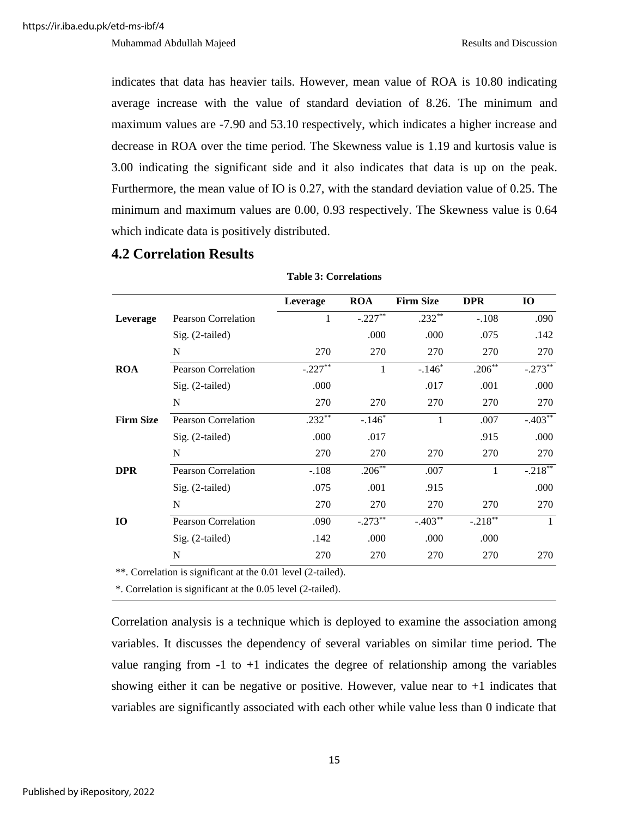indicates that data has heavier tails. However, mean value of ROA is 10.80 indicating average increase with the value of standard deviation of 8.26. The minimum and maximum values are -7.90 and 53.10 respectively, which indicates a higher increase and decrease in ROA over the time period. The Skewness value is 1.19 and kurtosis value is 3.00 indicating the significant side and it also indicates that data is up on the peak. Furthermore, the mean value of IO is 0.27, with the standard deviation value of 0.25. The minimum and maximum values are 0.00, 0.93 respectively. The Skewness value is 0.64 which indicate data is positively distributed.

### <span id="page-24-0"></span>**4.2 Correlation Results**

<span id="page-24-1"></span>

|                  |                            | Leverage  | <b>ROA</b> | <b>Firm Size</b> | <b>DPR</b> | <b>IO</b>  |
|------------------|----------------------------|-----------|------------|------------------|------------|------------|
| Leverage         | <b>Pearson Correlation</b> | 1         | $-.227**$  | $.232**$         | $-.108$    | .090       |
|                  | Sig. (2-tailed)            |           | .000       | .000             | .075       | .142       |
|                  | N                          | 270       | 270        | 270              | 270        | 270        |
| <b>ROA</b>       | <b>Pearson Correlation</b> | $-.227**$ | 1          | $-.146*$         | $.206**$   | $-.273**$  |
|                  | $Sig. (2-tailed)$          | .000      |            | .017             | .001       | .000       |
|                  | N                          | 270       | 270        | 270              | 270        | 270        |
| <b>Firm Size</b> | <b>Pearson Correlation</b> | $.232**$  | $-.146*$   |                  | .007       | $-.403**$  |
|                  | Sig. (2-tailed)            | .000      | .017       |                  | .915       | .000       |
|                  | N                          | 270       | 270        | 270              | 270        | 270        |
| <b>DPR</b>       | <b>Pearson Correlation</b> | $-.108$   | $.206***$  | .007             | 1          | $-.218***$ |
|                  | Sig. (2-tailed)            | .075      | .001       | .915             |            | .000       |
|                  | N                          | 270       | 270        | 270              | 270        | 270        |
| 10               | <b>Pearson Correlation</b> | .090      | $-.273**$  | $-.403$          | $-.218***$ |            |
|                  | Sig. (2-tailed)            | .142      | .000       | .000             | .000       |            |
|                  | N                          | 270       | 270        | 270              | 270        | 270        |

#### **Table 3: Correlations**

\*\*. Correlation is significant at the 0.01 level (2-tailed).

\*. Correlation is significant at the 0.05 level (2-tailed).

Correlation analysis is a technique which is deployed to examine the association among variables. It discusses the dependency of several variables on similar time period. The value ranging from  $-1$  to  $+1$  indicates the degree of relationship among the variables showing either it can be negative or positive. However, value near to  $+1$  indicates that variables are significantly associated with each other while value less than 0 indicate that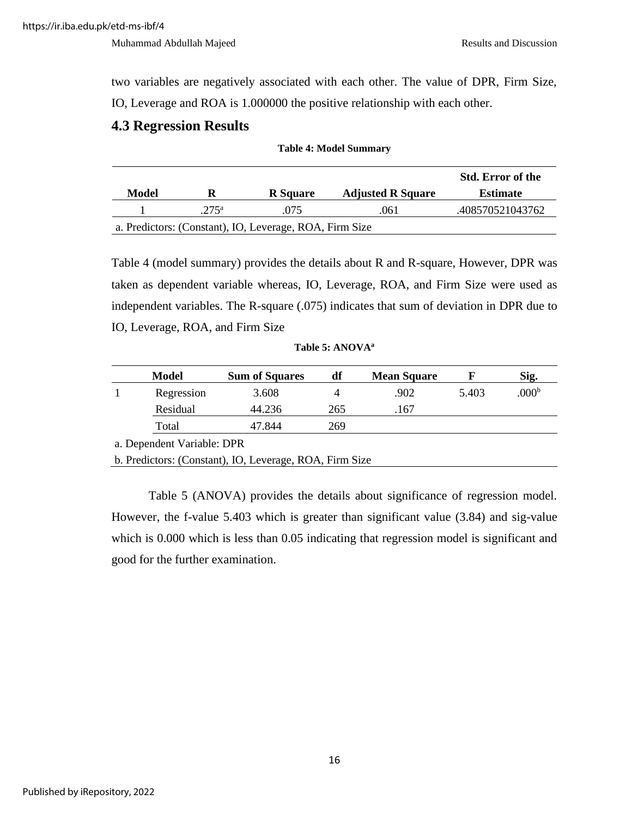two variables are negatively associated with each other. The value of DPR, Firm Size, IO, Leverage and ROA is 1.000000 the positive relationship with each other.

### <span id="page-25-0"></span>**4.3 Regression Results**

<span id="page-25-1"></span>

| Model                                                   | R                | <b>R</b> Square | <b>Adjusted R Square</b> | <b>Std. Error of the</b><br><b>Estimate</b> |  |  |  |
|---------------------------------------------------------|------------------|-----------------|--------------------------|---------------------------------------------|--|--|--|
|                                                         | 275 <sup>a</sup> | .075            | .061                     | .408570521043762                            |  |  |  |
| a. Predictors: (Constant), IO, Leverage, ROA, Firm Size |                  |                 |                          |                                             |  |  |  |

**Table 4: Model Summary**

Table 4 (model summary) provides the details about R and R-square, However, DPR was taken as dependent variable whereas, IO, Leverage, ROA, and Firm Size were used as independent variables. The R-square (.075) indicates that sum of deviation in DPR due to IO, Leverage, ROA, and Firm Size

| Table 5: ANOVA <sup>a</sup> |  |  |  |
|-----------------------------|--|--|--|
|-----------------------------|--|--|--|

<span id="page-25-2"></span>

| <b>Model</b>               | <b>Sum of Squares</b> | df  | <b>Mean Square</b> |       | Sig.              |  |  |  |  |  |
|----------------------------|-----------------------|-----|--------------------|-------|-------------------|--|--|--|--|--|
| Regression                 | 3.608                 | 4   | .902               | 5.403 | .000 <sup>b</sup> |  |  |  |  |  |
| Residual                   | 44.236                | 265 | .167               |       |                   |  |  |  |  |  |
| Total                      | 47.844                | 269 |                    |       |                   |  |  |  |  |  |
| a. Dependent Variable: DPR |                       |     |                    |       |                   |  |  |  |  |  |

b. Predictors: (Constant), IO, Leverage, ROA, Firm Size

Table 5 (ANOVA) provides the details about significance of regression model. However, the f-value 5.403 which is greater than significant value (3.84) and sig-value which is 0.000 which is less than 0.05 indicating that regression model is significant and good for the further examination.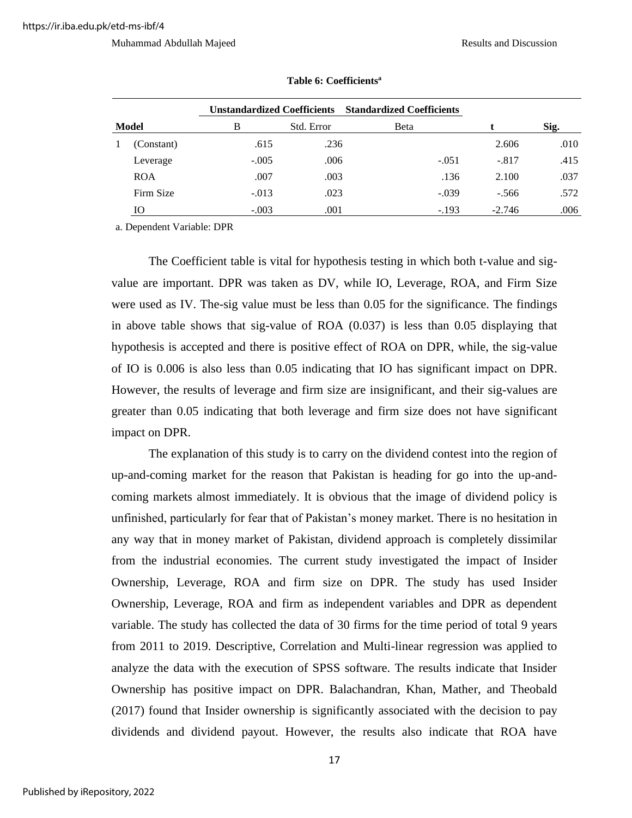<span id="page-26-0"></span>

| Unstandardized Coefficients Standardized Coefficients<br><b>Model</b><br>B<br>Std. Error |            |         |      |         |          |      |
|------------------------------------------------------------------------------------------|------------|---------|------|---------|----------|------|
|                                                                                          |            |         |      | Beta    |          | Sig. |
|                                                                                          | (Constant) | .615    | .236 |         | 2.606    | .010 |
|                                                                                          | Leverage   | $-.005$ | .006 | $-.051$ | $-.817$  | .415 |
|                                                                                          | <b>ROA</b> | .007    | .003 | .136    | 2.100    | .037 |
|                                                                                          | Firm Size  | $-.013$ | .023 | $-.039$ | $-.566$  | .572 |
|                                                                                          | Ю          | $-.003$ | .001 | $-.193$ | $-2.746$ | .006 |

#### **Table 6: Coefficients<sup>a</sup>**

a. Dependent Variable: DPR

The Coefficient table is vital for hypothesis testing in which both t-value and sigvalue are important. DPR was taken as DV, while IO, Leverage, ROA, and Firm Size were used as IV. The-sig value must be less than 0.05 for the significance. The findings in above table shows that sig-value of ROA (0.037) is less than 0.05 displaying that hypothesis is accepted and there is positive effect of ROA on DPR, while, the sig-value of IO is 0.006 is also less than 0.05 indicating that IO has significant impact on DPR. However, the results of leverage and firm size are insignificant, and their sig-values are greater than 0.05 indicating that both leverage and firm size does not have significant impact on DPR.

The explanation of this study is to carry on the dividend contest into the region of up-and-coming market for the reason that Pakistan is heading for go into the up-andcoming markets almost immediately. It is obvious that the image of dividend policy is unfinished, particularly for fear that of Pakistan's money market. There is no hesitation in any way that in money market of Pakistan, dividend approach is completely dissimilar from the industrial economies. The current study investigated the impact of Insider Ownership, Leverage, ROA and firm size on DPR. The study has used Insider Ownership, Leverage, ROA and firm as independent variables and DPR as dependent variable. The study has collected the data of 30 firms for the time period of total 9 years from 2011 to 2019. Descriptive, Correlation and Multi-linear regression was applied to analyze the data with the execution of SPSS software. The results indicate that Insider Ownership has positive impact on DPR. Balachandran, Khan, Mather, and Theobald (2017) found that Insider ownership is significantly associated with the decision to pay dividends and dividend payout. However, the results also indicate that ROA have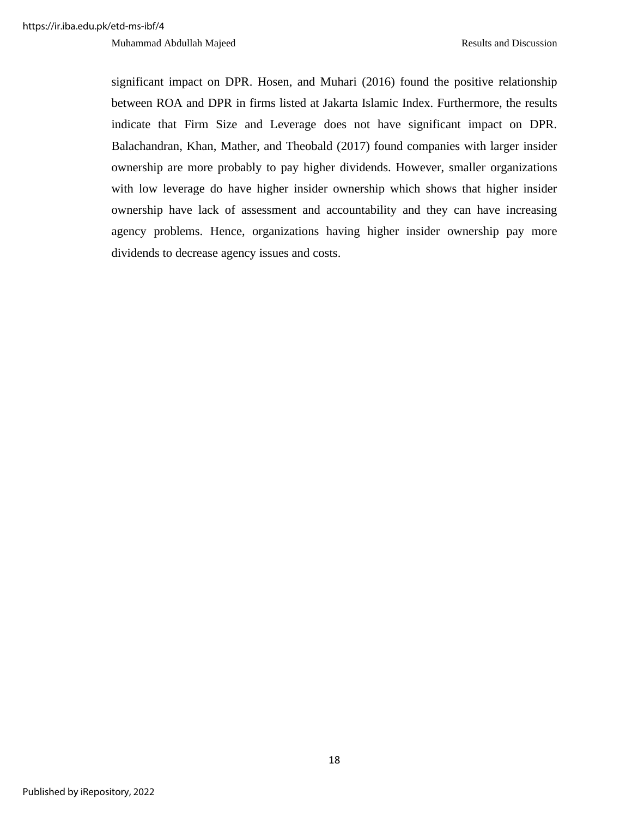significant impact on DPR. Hosen, and Muhari (2016) found the positive relationship between ROA and DPR in firms listed at Jakarta Islamic Index. Furthermore, the results indicate that Firm Size and Leverage does not have significant impact on DPR. Balachandran, Khan, Mather, and Theobald (2017) found companies with larger insider ownership are more probably to pay higher dividends. However, smaller organizations with low leverage do have higher insider ownership which shows that higher insider ownership have lack of assessment and accountability and they can have increasing agency problems. Hence, organizations having higher insider ownership pay more dividends to decrease agency issues and costs.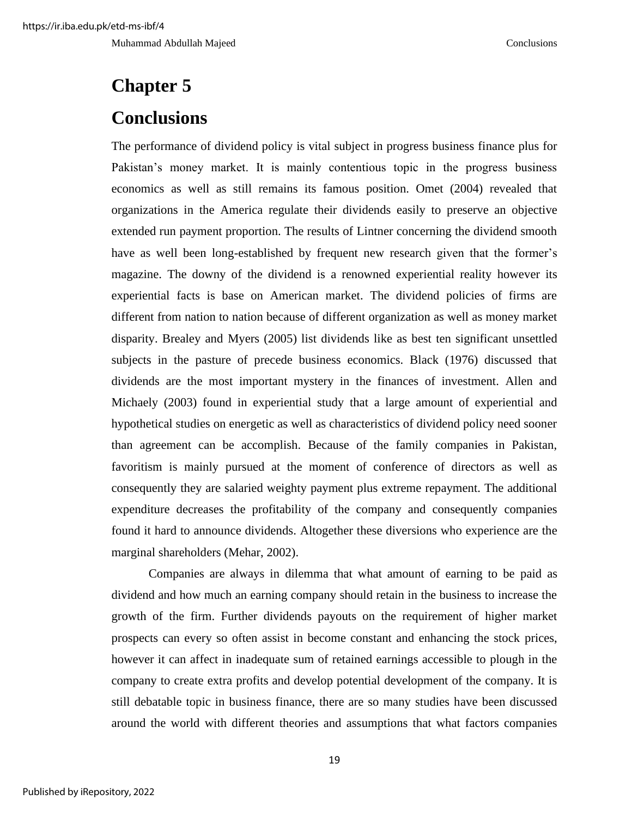Muhammad Abdullah Majeed Conclusions

# <span id="page-28-1"></span><span id="page-28-0"></span>**Chapter 5 Conclusions**

The performance of dividend policy is vital subject in progress business finance plus for Pakistan's money market. It is mainly contentious topic in the progress business economics as well as still remains its famous position. Omet (2004) revealed that organizations in the America regulate their dividends easily to preserve an objective extended run payment proportion. The results of Lintner concerning the dividend smooth have as well been long-established by frequent new research given that the former's magazine. The downy of the dividend is a renowned experiential reality however its experiential facts is base on American market. The dividend policies of firms are different from nation to nation because of different organization as well as money market disparity. Brealey and Myers (2005) list dividends like as best ten significant unsettled subjects in the pasture of precede business economics. Black (1976) discussed that dividends are the most important mystery in the finances of investment. Allen and Michaely (2003) found in experiential study that a large amount of experiential and hypothetical studies on energetic as well as characteristics of dividend policy need sooner than agreement can be accomplish. Because of the family companies in Pakistan, favoritism is mainly pursued at the moment of conference of directors as well as consequently they are salaried weighty payment plus extreme repayment. The additional expenditure decreases the profitability of the company and consequently companies found it hard to announce dividends. Altogether these diversions who experience are the marginal shareholders (Mehar, 2002).

Companies are always in dilemma that what amount of earning to be paid as dividend and how much an earning company should retain in the business to increase the growth of the firm. Further dividends payouts on the requirement of higher market prospects can every so often assist in become constant and enhancing the stock prices, however it can affect in inadequate sum of retained earnings accessible to plough in the company to create extra profits and develop potential development of the company. It is still debatable topic in business finance, there are so many studies have been discussed around the world with different theories and assumptions that what factors companies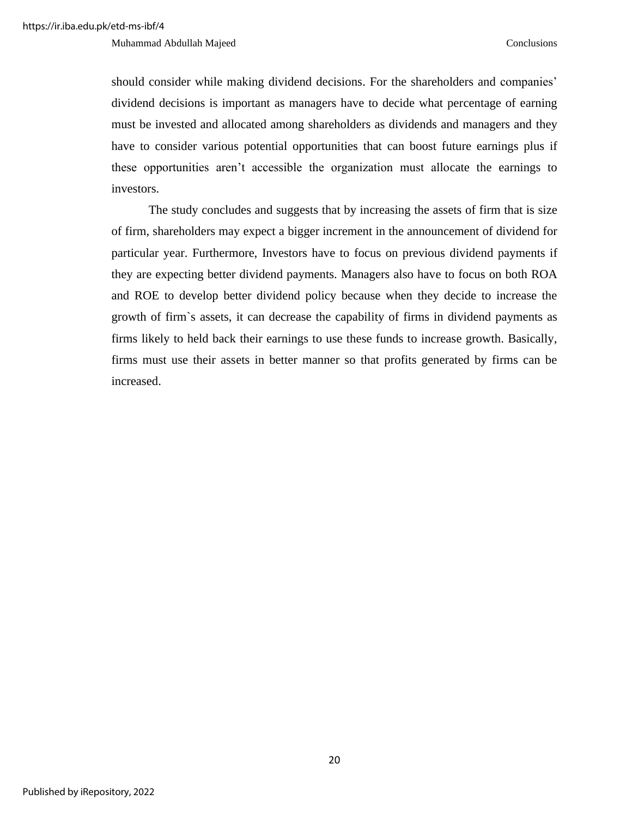should consider while making dividend decisions. For the shareholders and companies' dividend decisions is important as managers have to decide what percentage of earning must be invested and allocated among shareholders as dividends and managers and they have to consider various potential opportunities that can boost future earnings plus if these opportunities aren't accessible the organization must allocate the earnings to investors.

The study concludes and suggests that by increasing the assets of firm that is size of firm, shareholders may expect a bigger increment in the announcement of dividend for particular year. Furthermore, Investors have to focus on previous dividend payments if they are expecting better dividend payments. Managers also have to focus on both ROA and ROE to develop better dividend policy because when they decide to increase the growth of firm`s assets, it can decrease the capability of firms in dividend payments as firms likely to held back their earnings to use these funds to increase growth. Basically, firms must use their assets in better manner so that profits generated by firms can be increased.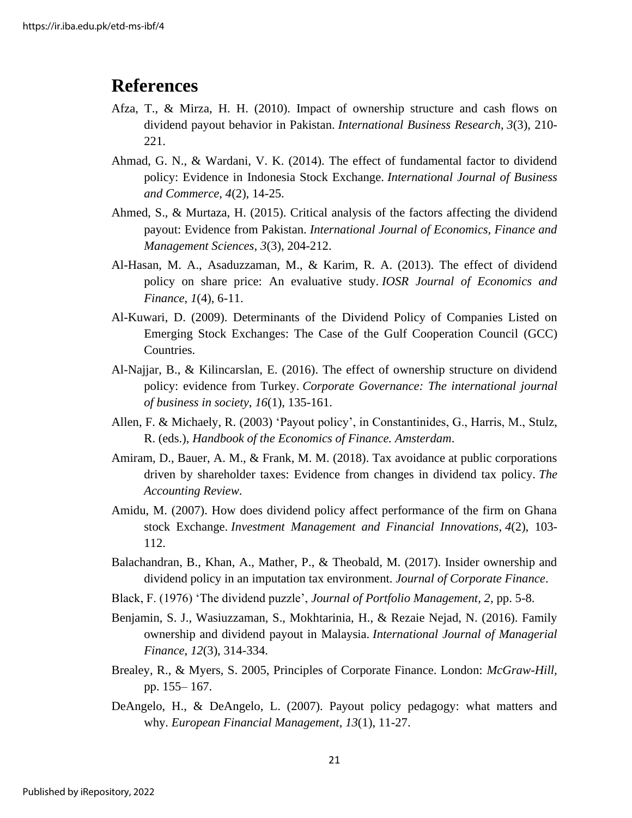# <span id="page-30-0"></span>**References**

- Afza, T., & Mirza, H. H. (2010). Impact of ownership structure and cash flows on dividend payout behavior in Pakistan. *International Business Research*, *3*(3), 210- 221.
- Ahmad, G. N., & Wardani, V. K. (2014). The effect of fundamental factor to dividend policy: Evidence in Indonesia Stock Exchange. *International Journal of Business and Commerce*, *4*(2), 14-25.
- Ahmed, S., & Murtaza, H. (2015). Critical analysis of the factors affecting the dividend payout: Evidence from Pakistan. *International Journal of Economics, Finance and Management Sciences*, *3*(3), 204-212.
- Al-Hasan, M. A., Asaduzzaman, M., & Karim, R. A. (2013). The effect of dividend policy on share price: An evaluative study. *IOSR Journal of Economics and Finance*, *1*(4), 6-11.
- Al-Kuwari, D. (2009). Determinants of the Dividend Policy of Companies Listed on Emerging Stock Exchanges: The Case of the Gulf Cooperation Council (GCC) Countries.
- Al-Najjar, B., & Kilincarslan, E. (2016). The effect of ownership structure on dividend policy: evidence from Turkey. *Corporate Governance: The international journal of business in society*, *16*(1), 135-161.
- Allen, F. & Michaely, R. (2003) 'Payout policy', in Constantinides, G., Harris, M., Stulz, R. (eds.), *Handbook of the Economics of Finance. Amsterdam*.
- Amiram, D., Bauer, A. M., & Frank, M. M. (2018). Tax avoidance at public corporations driven by shareholder taxes: Evidence from changes in dividend tax policy. *The Accounting Review*.
- Amidu, M. (2007). How does dividend policy affect performance of the firm on Ghana stock Exchange. *Investment Management and Financial Innovations*, *4*(2), 103- 112.
- Balachandran, B., Khan, A., Mather, P., & Theobald, M. (2017). Insider ownership and dividend policy in an imputation tax environment. *Journal of Corporate Finance*.
- Black, F. (1976) 'The dividend puzzle', *Journal of Portfolio Management, 2,* pp. 5-8.
- Benjamin, S. J., Wasiuzzaman, S., Mokhtarinia, H., & Rezaie Nejad, N. (2016). Family ownership and dividend payout in Malaysia. *International Journal of Managerial Finance*, *12*(3), 314-334.
- Brealey, R., & Myers, S. 2005, Principles of Corporate Finance. London: *McGraw-Hill,* pp. 155– 167.
- DeAngelo, H., & DeAngelo, L. (2007). Payout policy pedagogy: what matters and why. *European Financial Management*, *13*(1), 11-27.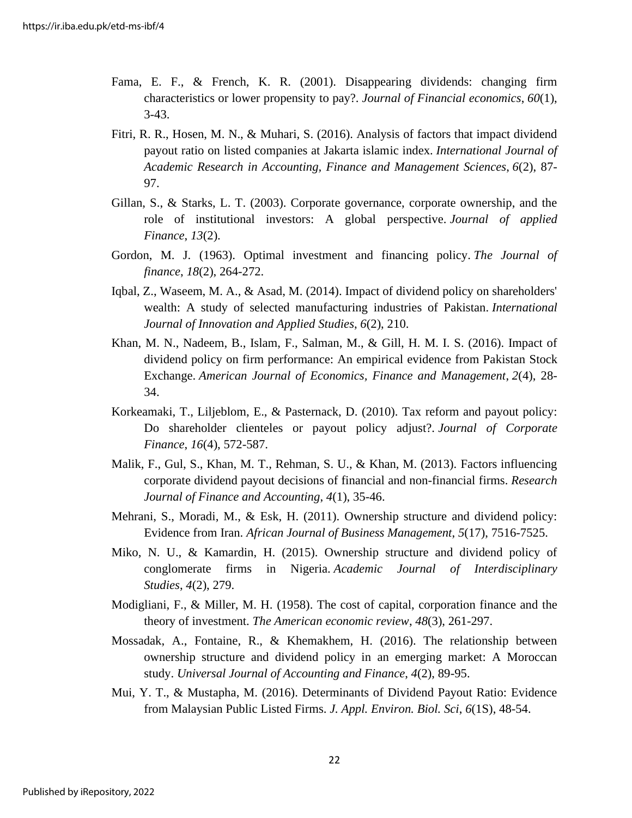- Fama, E. F., & French, K. R. (2001). Disappearing dividends: changing firm characteristics or lower propensity to pay?. *Journal of Financial economics*, *60*(1), 3-43.
- Fitri, R. R., Hosen, M. N., & Muhari, S. (2016). Analysis of factors that impact dividend payout ratio on listed companies at Jakarta islamic index. *International Journal of Academic Research in Accounting, Finance and Management Sciences*, *6*(2), 87- 97.
- Gillan, S., & Starks, L. T. (2003). Corporate governance, corporate ownership, and the role of institutional investors: A global perspective. *Journal of applied Finance*, *13*(2).
- Gordon, M. J. (1963). Optimal investment and financing policy. *The Journal of finance*, *18*(2), 264-272.
- Iqbal, Z., Waseem, M. A., & Asad, M. (2014). Impact of dividend policy on shareholders' wealth: A study of selected manufacturing industries of Pakistan. *International Journal of Innovation and Applied Studies*, *6*(2), 210.
- Khan, M. N., Nadeem, B., Islam, F., Salman, M., & Gill, H. M. I. S. (2016). Impact of dividend policy on firm performance: An empirical evidence from Pakistan Stock Exchange. *American Journal of Economics, Finance and Management*, *2*(4), 28- 34.
- Korkeamaki, T., Liljeblom, E., & Pasternack, D. (2010). Tax reform and payout policy: Do shareholder clienteles or payout policy adjust?. *Journal of Corporate Finance*, *16*(4), 572-587.
- Malik, F., Gul, S., Khan, M. T., Rehman, S. U., & Khan, M. (2013). Factors influencing corporate dividend payout decisions of financial and non-financial firms. *Research Journal of Finance and Accounting*, *4*(1), 35-46.
- Mehrani, S., Moradi, M., & Esk, H. (2011). Ownership structure and dividend policy: Evidence from Iran. *African Journal of Business Management*, *5*(17), 7516-7525.
- Miko, N. U., & Kamardin, H. (2015). Ownership structure and dividend policy of conglomerate firms in Nigeria. *Academic Journal of Interdisciplinary Studies*, *4*(2), 279.
- Modigliani, F., & Miller, M. H. (1958). The cost of capital, corporation finance and the theory of investment. *The American economic review*, *48*(3), 261-297.
- Mossadak, A., Fontaine, R., & Khemakhem, H. (2016). The relationship between ownership structure and dividend policy in an emerging market: A Moroccan study. *Universal Journal of Accounting and Finance*, *4*(2), 89-95.
- Mui, Y. T., & Mustapha, M. (2016). Determinants of Dividend Payout Ratio: Evidence from Malaysian Public Listed Firms. *J. Appl. Environ. Biol. Sci*, *6*(1S), 48-54.